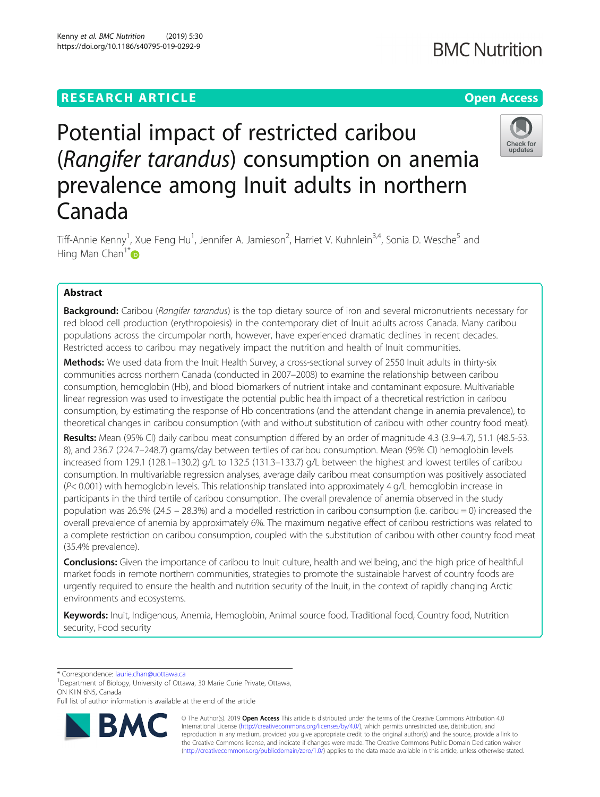# Kenny et al. BMC Nutrition (2019) 5:30 https://doi.org/10.1186/s40795-019-0292-9

# Potential impact of restricted caribou (Rangifer tarandus) consumption on anemia prevalence among Inuit adults in northern Canada

Tiff-Annie Kenny<sup>1</sup>, Xue Feng Hu<sup>1</sup>, Jennifer A. Jamieson<sup>2</sup>, Harriet V. Kuhnlein<sup>3,4</sup>, Sonia D. Wesche<sup>5</sup> and Hing Man Chan<sup>1\*</sup>

# Abstract

Background: Caribou (Rangifer tarandus) is the top dietary source of iron and several micronutrients necessary for red blood cell production (erythropoiesis) in the contemporary diet of Inuit adults across Canada. Many caribou populations across the circumpolar north, however, have experienced dramatic declines in recent decades. Restricted access to caribou may negatively impact the nutrition and health of Inuit communities.

Methods: We used data from the Inuit Health Survey, a cross-sectional survey of 2550 Inuit adults in thirty-six communities across northern Canada (conducted in 2007–2008) to examine the relationship between caribou consumption, hemoglobin (Hb), and blood biomarkers of nutrient intake and contaminant exposure. Multivariable linear regression was used to investigate the potential public health impact of a theoretical restriction in caribou consumption, by estimating the response of Hb concentrations (and the attendant change in anemia prevalence), to theoretical changes in caribou consumption (with and without substitution of caribou with other country food meat).

Results: Mean (95% CI) daily caribou meat consumption differed by an order of magnitude 4.3 (3.9–4.7), 51.1 (48.5-53. 8), and 236.7 (224.7–248.7) grams/day between tertiles of caribou consumption. Mean (95% CI) hemoglobin levels increased from 129.1 (128.1–130.2) g/L to 132.5 (131.3–133.7) g/L between the highest and lowest tertiles of caribou consumption. In multivariable regression analyses, average daily caribou meat consumption was positively associated  $(P< 0.001)$  with hemoglobin levels. This relationship translated into approximately 4 g/L hemoglobin increase in participants in the third tertile of caribou consumption. The overall prevalence of anemia observed in the study population was 26.5% (24.5 – 28.3%) and a modelled restriction in caribou consumption (i.e. caribou = 0) increased the overall prevalence of anemia by approximately 6%. The maximum negative effect of caribou restrictions was related to a complete restriction on caribou consumption, coupled with the substitution of caribou with other country food meat (35.4% prevalence).

Conclusions: Given the importance of caribou to Inuit culture, health and wellbeing, and the high price of healthful market foods in remote northern communities, strategies to promote the sustainable harvest of country foods are urgently required to ensure the health and nutrition security of the Inuit, in the context of rapidly changing Arctic environments and ecosystems.

Keywords: Inuit, Indigenous, Anemia, Hemoglobin, Animal source food, Traditional food, Country food, Nutrition security, Food security

\* Correspondence: [laurie.chan@uottawa.ca](mailto:laurie.chan@uottawa.ca) <sup>1</sup>

<sup>1</sup>Department of Biology, University of Ottawa, 30 Marie Curie Private, Ottawa, ON K1N 6N5, Canada

Full list of author information is available at the end of the article

BA

© The Author(s). 2019 **Open Access** This article is distributed under the terms of the Creative Commons Attribution 4.0 International License [\(http://creativecommons.org/licenses/by/4.0/](http://creativecommons.org/licenses/by/4.0/)), which permits unrestricted use, distribution, and reproduction in any medium, provided you give appropriate credit to the original author(s) and the source, provide a link to the Creative Commons license, and indicate if changes were made. The Creative Commons Public Domain Dedication waiver [\(http://creativecommons.org/publicdomain/zero/1.0/](http://creativecommons.org/publicdomain/zero/1.0/)) applies to the data made available in this article, unless otherwise stated.

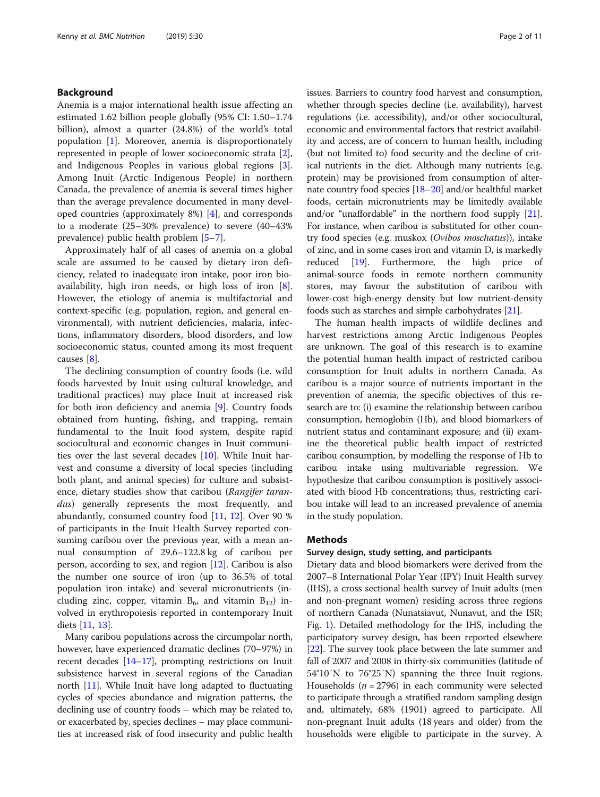# Background

Anemia is a major international health issue affecting an estimated 1.62 billion people globally (95% CI: 1.50–1.74 billion), almost a quarter (24.8%) of the world's total population [[1\]](#page-9-0). Moreover, anemia is disproportionately represented in people of lower socioeconomic strata [\[2](#page-9-0)], and Indigenous Peoples in various global regions [\[3](#page-9-0)]. Among Inuit (Arctic Indigenous People) in northern Canada, the prevalence of anemia is several times higher than the average prevalence documented in many developed countries (approximately 8%) [\[4](#page-9-0)], and corresponds to a moderate (25–30% prevalence) to severe (40–43% prevalence) public health problem [[5](#page-9-0)–[7\]](#page-9-0).

Approximately half of all cases of anemia on a global scale are assumed to be caused by dietary iron deficiency, related to inadequate iron intake, poor iron bioavailability, high iron needs, or high loss of iron [\[8](#page-9-0)]. However, the etiology of anemia is multifactorial and context-specific (e.g. population, region, and general environmental), with nutrient deficiencies, malaria, infections, inflammatory disorders, blood disorders, and low socioeconomic status, counted among its most frequent causes [[8\]](#page-9-0).

The declining consumption of country foods (i.e. wild foods harvested by Inuit using cultural knowledge, and traditional practices) may place Inuit at increased risk for both iron deficiency and anemia [\[9](#page-9-0)]. Country foods obtained from hunting, fishing, and trapping, remain fundamental to the Inuit food system, despite rapid sociocultural and economic changes in Inuit communities over the last several decades [\[10\]](#page-9-0). While Inuit harvest and consume a diversity of local species (including both plant, and animal species) for culture and subsistence, dietary studies show that caribou (Rangifer tarandus) generally represents the most frequently, and abundantly, consumed country food [[11,](#page-10-0) [12\]](#page-10-0). Over 90 % of participants in the Inuit Health Survey reported consuming caribou over the previous year, with a mean annual consumption of 29.6–122.8 kg of caribou per person, according to sex, and region [[12](#page-10-0)]. Caribou is also the number one source of iron (up to 36.5% of total population iron intake) and several micronutrients (including zinc, copper, vitamin  $B_6$ , and vitamin  $B_{12}$ ) involved in erythropoiesis reported in contemporary Inuit diets [\[11,](#page-10-0) [13\]](#page-10-0).

Many caribou populations across the circumpolar north, however, have experienced dramatic declines (70–97%) in recent decades [\[14](#page-10-0)–[17](#page-10-0)], prompting restrictions on Inuit subsistence harvest in several regions of the Canadian north [\[11\]](#page-10-0). While Inuit have long adapted to fluctuating cycles of species abundance and migration patterns, the declining use of country foods – which may be related to, or exacerbated by, species declines – may place communities at increased risk of food insecurity and public health issues. Barriers to country food harvest and consumption, whether through species decline (i.e. availability), harvest regulations (i.e. accessibility), and/or other sociocultural, economic and environmental factors that restrict availability and access, are of concern to human health, including (but not limited to) food security and the decline of critical nutrients in the diet. Although many nutrients (e.g. protein) may be provisioned from consumption of alternate country food species [\[18](#page-10-0)–[20](#page-10-0)] and/or healthful market foods, certain micronutrients may be limitedly available and/or "unaffordable" in the northern food supply [[21](#page-10-0)]. For instance, when caribou is substituted for other country food species (e.g. muskox (Ovibos moschatus)), intake of zinc, and in some cases iron and vitamin D, is markedly reduced [\[19\]](#page-10-0). Furthermore, the high price of animal-source foods in remote northern community stores, may favour the substitution of caribou with lower-cost high-energy density but low nutrient-density foods such as starches and simple carbohydrates [[21](#page-10-0)].

The human health impacts of wildlife declines and harvest restrictions among Arctic Indigenous Peoples are unknown. The goal of this research is to examine the potential human health impact of restricted caribou consumption for Inuit adults in northern Canada. As caribou is a major source of nutrients important in the prevention of anemia, the specific objectives of this research are to: (i) examine the relationship between caribou consumption, hemoglobin (Hb), and blood biomarkers of nutrient status and contaminant exposure; and (ii) examine the theoretical public health impact of restricted caribou consumption, by modelling the response of Hb to caribou intake using multivariable regression. We hypothesize that caribou consumption is positively associated with blood Hb concentrations; thus, restricting caribou intake will lead to an increased prevalence of anemia in the study population.

# **Methods**

# Survey design, study setting, and participants

Dietary data and blood biomarkers were derived from the 2007–8 International Polar Year (IPY) Inuit Health survey (IHS), a cross sectional health survey of Inuit adults (men and non-pregnant women) residing across three regions of northern Canada (Nunatsiavut, Nunavut, and the ISR; Fig. [1\)](#page-2-0). Detailed methodology for the IHS, including the participatory survey design, has been reported elsewhere [[22](#page-10-0)]. The survey took place between the late summer and fall of 2007 and 2008 in thirty-six communities (latitude of 54°10′N to 76°25′N) spanning the three Inuit regions. Households ( $n = 2796$ ) in each community were selected to participate through a stratified random sampling design and, ultimately, 68% (1901) agreed to participate. All non-pregnant Inuit adults (18 years and older) from the households were eligible to participate in the survey. A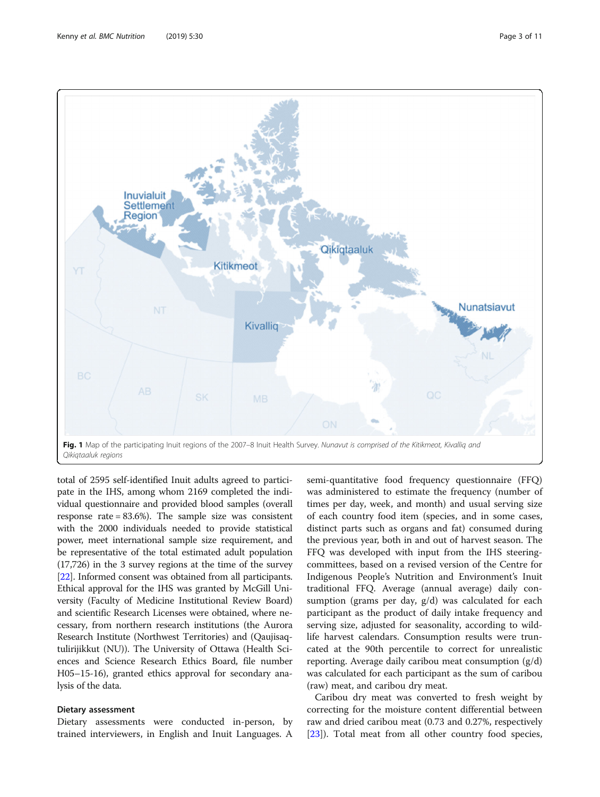<span id="page-2-0"></span>

Fig. 1 Map of the participating Inuit regions of the 2007-8 Inuit Health Survey. Nunavut is comprised of the Kitikmeot, Kivalliq and Qikiqtaaluk regions

total of 2595 self-identified Inuit adults agreed to participate in the IHS, among whom 2169 completed the individual questionnaire and provided blood samples (overall response rate = 83.6%). The sample size was consistent with the 2000 individuals needed to provide statistical power, meet international sample size requirement, and be representative of the total estimated adult population (17,726) in the 3 survey regions at the time of the survey [[22](#page-10-0)]. Informed consent was obtained from all participants. Ethical approval for the IHS was granted by McGill University (Faculty of Medicine Institutional Review Board) and scientific Research Licenses were obtained, where necessary, from northern research institutions (the Aurora Research Institute (Northwest Territories) and (Qaujisaqtulirijikkut (NU)). The University of Ottawa (Health Sciences and Science Research Ethics Board, file number H05–15-16), granted ethics approval for secondary analysis of the data.

# Dietary assessment

Dietary assessments were conducted in-person, by trained interviewers, in English and Inuit Languages. A

semi-quantitative food frequency questionnaire (FFQ) was administered to estimate the frequency (number of times per day, week, and month) and usual serving size of each country food item (species, and in some cases, distinct parts such as organs and fat) consumed during the previous year, both in and out of harvest season. The FFQ was developed with input from the IHS steeringcommittees, based on a revised version of the Centre for Indigenous People's Nutrition and Environment's Inuit traditional FFQ. Average (annual average) daily consumption (grams per day, g/d) was calculated for each participant as the product of daily intake frequency and serving size, adjusted for seasonality, according to wildlife harvest calendars. Consumption results were truncated at the 90th percentile to correct for unrealistic reporting. Average daily caribou meat consumption  $(g/d)$ was calculated for each participant as the sum of caribou (raw) meat, and caribou dry meat.

Caribou dry meat was converted to fresh weight by correcting for the moisture content differential between raw and dried caribou meat (0.73 and 0.27%, respectively [[23\]](#page-10-0)). Total meat from all other country food species,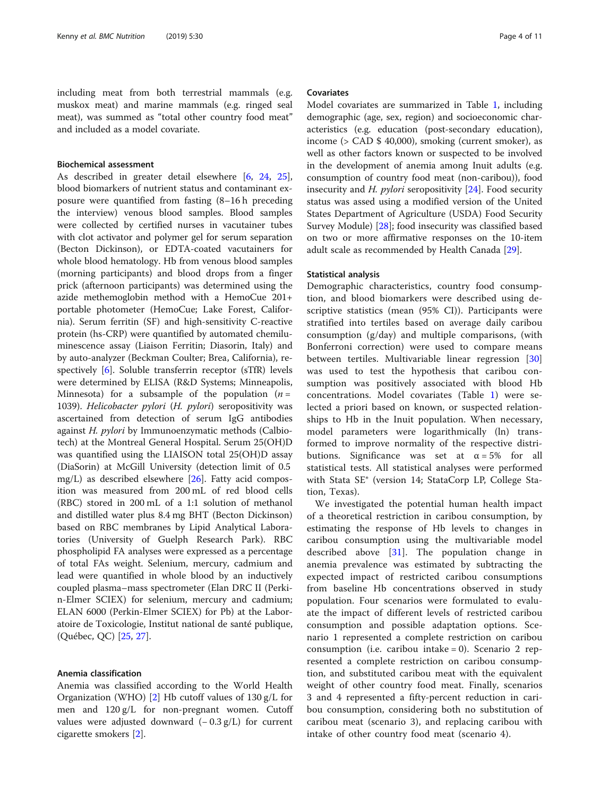including meat from both terrestrial mammals (e.g. muskox meat) and marine mammals (e.g. ringed seal meat), was summed as "total other country food meat" and included as a model covariate.

# Biochemical assessment

As described in greater detail elsewhere [\[6](#page-9-0), [24](#page-10-0), [25](#page-10-0)], blood biomarkers of nutrient status and contaminant exposure were quantified from fasting (8–16 h preceding the interview) venous blood samples. Blood samples were collected by certified nurses in vacutainer tubes with clot activator and polymer gel for serum separation (Becton Dickinson), or EDTA-coated vacutainers for whole blood hematology. Hb from venous blood samples (morning participants) and blood drops from a finger prick (afternoon participants) was determined using the azide methemoglobin method with a HemoCue 201+ portable photometer (HemoCue; Lake Forest, California). Serum ferritin (SF) and high-sensitivity C-reactive protein (hs-CRP) were quantified by automated chemiluminescence assay (Liaison Ferritin; Diasorin, Italy) and by auto-analyzer (Beckman Coulter; Brea, California), respectively [[6\]](#page-9-0). Soluble transferrin receptor (sTfR) levels were determined by ELISA (R&D Systems; Minneapolis, Minnesota) for a subsample of the population  $(n =$ 1039). Helicobacter pylori (H. pylori) seropositivity was ascertained from detection of serum IgG antibodies against H. pylori by Immunoenzymatic methods (Calbiotech) at the Montreal General Hospital. Serum 25(OH)D was quantified using the LIAISON total 25(OH)D assay (DiaSorin) at McGill University (detection limit of 0.5 mg/L) as described elsewhere [[26\]](#page-10-0). Fatty acid composition was measured from 200 mL of red blood cells (RBC) stored in 200 mL of a 1:1 solution of methanol and distilled water plus 8.4 mg BHT (Becton Dickinson) based on RBC membranes by Lipid Analytical Laboratories (University of Guelph Research Park). RBC phospholipid FA analyses were expressed as a percentage of total FAs weight. Selenium, mercury, cadmium and lead were quantified in whole blood by an inductively coupled plasma–mass spectrometer (Elan DRC II (Perkin-Elmer SCIEX) for selenium, mercury and cadmium; ELAN 6000 (Perkin-Elmer SCIEX) for Pb) at the Laboratoire de Toxicologie, Institut national de santé publique, (Québec, QC) [\[25,](#page-10-0) [27\]](#page-10-0).

#### Anemia classification

Anemia was classified according to the World Health Organization (WHO) [\[2](#page-9-0)] Hb cutoff values of 130 g/L for men and 120 g/L for non-pregnant women. Cutoff values were adjusted downward  $(-0.3 \text{ g/L})$  for current cigarette smokers [\[2](#page-9-0)].

# Covariates

Model covariates are summarized in Table [1](#page-4-0), including demographic (age, sex, region) and socioeconomic characteristics (e.g. education (post-secondary education), income (> CAD \$ 40,000), smoking (current smoker), as well as other factors known or suspected to be involved in the development of anemia among Inuit adults (e.g. consumption of country food meat (non-caribou)), food insecurity and *H. pylori* seropositivity  $[24]$  $[24]$ . Food security status was assed using a modified version of the United States Department of Agriculture (USDA) Food Security Survey Module) [\[28\]](#page-10-0); food insecurity was classified based on two or more affirmative responses on the 10-item adult scale as recommended by Health Canada [\[29\]](#page-10-0).

# Statistical analysis

Demographic characteristics, country food consumption, and blood biomarkers were described using descriptive statistics (mean (95% CI)). Participants were stratified into tertiles based on average daily caribou consumption (g/day) and multiple comparisons, (with Bonferroni correction) were used to compare means between tertiles. Multivariable linear regression [\[30](#page-10-0)] was used to test the hypothesis that caribou consumption was positively associated with blood Hb concentrations. Model covariates (Table [1\)](#page-4-0) were selected a priori based on known, or suspected relationships to Hb in the Inuit population. When necessary, model parameters were logarithmically (ln) transformed to improve normality of the respective distributions. Significance was set at  $\alpha = 5\%$  for all statistical tests. All statistical analyses were performed with Stata SE® (version 14; StataCorp LP, College Station, Texas).

We investigated the potential human health impact of a theoretical restriction in caribou consumption, by estimating the response of Hb levels to changes in caribou consumption using the multivariable model described above  $[31]$  $[31]$ . The population change in anemia prevalence was estimated by subtracting the expected impact of restricted caribou consumptions from baseline Hb concentrations observed in study population. Four scenarios were formulated to evaluate the impact of different levels of restricted caribou consumption and possible adaptation options. Scenario 1 represented a complete restriction on caribou consumption (i.e. caribou intake = 0). Scenario 2 represented a complete restriction on caribou consumption, and substituted caribou meat with the equivalent weight of other country food meat. Finally, scenarios 3 and 4 represented a fifty-percent reduction in caribou consumption, considering both no substitution of caribou meat (scenario 3), and replacing caribou with intake of other country food meat (scenario 4).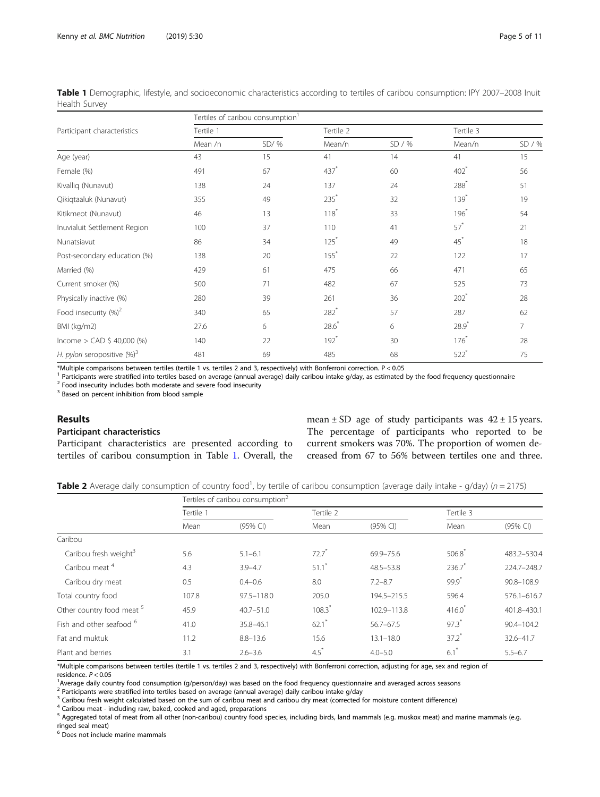<span id="page-4-0"></span>Table 1 Demographic, lifestyle, and socioeconomic characteristics according to tertiles of caribou consumption: IPY 2007–2008 Inuit Health Survey

|                                 | Tertiles of caribou consumption <sup>1</sup> |         |                    |        |                    |                |  |  |  |
|---------------------------------|----------------------------------------------|---------|--------------------|--------|--------------------|----------------|--|--|--|
| Participant characteristics     | Tertile 1                                    |         | Tertile 2          |        | Tertile 3          |                |  |  |  |
|                                 | Mean /n                                      | $SD/$ % | Mean/n             | SD / % | Mean/n             | SD / %         |  |  |  |
| Age (year)                      | 43                                           | 15      | 41                 | 14     | 41                 | 15             |  |  |  |
| Female (%)                      | 491                                          | 67      | 437*               | 60     | $402$ <sup>*</sup> | 56             |  |  |  |
| Kivalliq (Nunavut)              | 138                                          | 24      | 137                | 24     | $288^*$            | 51             |  |  |  |
| Qikiqtaaluk (Nunavut)           | 355                                          | 49      | $235*$             | 32     | $139*$             | 19             |  |  |  |
| Kitikmeot (Nunavut)             | 46                                           | 13      | $118*$             | 33     | $196*$             | 54             |  |  |  |
| Inuvialuit Settlement Region    | 100                                          | 37      | 110                | 41     | $57^*$             | 21             |  |  |  |
| Nunatsiavut                     | 86                                           | 34      | $125*$             | 49     | $45^*$             | 18             |  |  |  |
| Post-secondary education (%)    | 138                                          | 20      | $155*$             | 22     | 122                | 17             |  |  |  |
| Married (%)                     | 429                                          | 61      | 475                | 66     | 471                | 65             |  |  |  |
| Current smoker (%)              | 500                                          | 71      | 482                | 67     | 525                | 73             |  |  |  |
| Physically inactive (%)         | 280                                          | 39      | 261                | 36     | $202$ <sup>*</sup> | 28             |  |  |  |
| Food insecurity $(%)^2$         | 340                                          | 65      | $282*$             | 57     | 287                | 62             |  |  |  |
| BMI (kg/m2)                     | 27.6                                         | 6       | $28.6*$            | 6      | $28.9*$            | $\overline{7}$ |  |  |  |
| Income > CAD \$ 40,000 (%)      | 140                                          | 22      | $192$ <sup>*</sup> | 30     | $176*$             | 28             |  |  |  |
| H. pylori seropositive $(\%)^3$ | 481                                          | 69      | 485                | 68     | $522$ <sup>*</sup> | 75             |  |  |  |

\*Multiple comparisons between tertiles (tertile 1 vs. tertiles 2 and 3, respectively) with Bonferroni correction. P < 0.05

<sup>1</sup> Participants were stratified into tertiles based on average (annual average) daily caribou intake g/day, as estimated by the food frequency questionnaire  $^2$  Food insecurity includes both moderate and severe food ins

<sup>3</sup> Based on percent inhibition from blood sample

# Results

# Participant characteristics

Participant characteristics are presented according to tertiles of caribou consumption in Table 1. Overall, the mean  $\pm$  SD age of study participants was  $42 \pm 15$  years. The percentage of participants who reported to be current smokers was 70%. The proportion of women decreased from 67 to 56% between tertiles one and three.

Table 2 Average daily consumption of country food<sup>1</sup>, by tertile of caribou consumption (average daily intake - g/day) (n = 2175)

|                                      | Tertiles of caribou consumption <sup>2</sup> |                |                     |               |                      |                |  |
|--------------------------------------|----------------------------------------------|----------------|---------------------|---------------|----------------------|----------------|--|
|                                      | Tertile 1                                    |                | Tertile 2           |               |                      | Tertile 3      |  |
|                                      | Mean                                         | (95% CI)       | Mean                | $(95%$ CI)    | Mean                 | $(95%$ CI)     |  |
| Caribou                              |                                              |                |                     |               |                      |                |  |
| Caribou fresh weight <sup>3</sup>    | 5.6                                          | $5.1 - 6.1$    | $72.7$ <sup>*</sup> | 69.9-75.6     | 506.8                | 483.2-530.4    |  |
| Caribou meat <sup>4</sup>            | 4.3                                          | $3.9 - 4.7$    | $51.1$ <sup>*</sup> | $48.5 - 53.8$ | $236.7$ <sup>*</sup> | 224.7-248.7    |  |
| Caribou dry meat                     | 0.5                                          | $0.4 - 0.6$    | 8.0                 | $7.2 - 8.7$   | $99.9^*$             | 90.8-108.9     |  |
| Total country food                   | 107.8                                        | $97.5 - 118.0$ | 205.0               | 194.5-215.5   | 596.4                | 576.1-616.7    |  |
| Other country food meat <sup>5</sup> | 45.9                                         | $40.7 - 51.0$  | 108.3               | 102.9-113.8   | $416.0^*$            | 401.8-430.1    |  |
| Fish and other seafood <sup>6</sup>  | 41.0                                         | 35.8-46.1      | $62.1$ *            | $56.7 - 67.5$ | $97.3$ <sup>*</sup>  | $90.4 - 104.2$ |  |
| Fat and muktuk                       | 11.2                                         | $8.8 - 13.6$   | 15.6                | $13.1 - 18.0$ | $37.2$ <sup>*</sup>  | 32.6-41.7      |  |
| Plant and berries                    | 3.1                                          | $2.6 - 3.6$    | $4.5$ <sup>*</sup>  | $4.0 - 5.0$   | $6.1$ <sup>*</sup>   | $5.5 - 6.7$    |  |

\*Multiple comparisons between tertiles (tertile 1 vs. tertiles 2 and 3, respectively) with Bonferroni correction, adjusting for age, sex and region of

residence.  $P < 0.05$ 

<sup>1</sup>Average daily country food consumption (g/person/day) was based on the food frequency questionnaire and averaged across seasons

<sup>2</sup> Participants were stratified into tertiles based on average (annual average) daily caribou intake g/day

<sup>3</sup> Caribou fresh weight calculated based on the sum of caribou meat and caribou dry meat (corrected for moisture content difference)

<sup>4</sup> Caribou meat - including raw, baked, cooked and aged, preparations

<sup>5</sup> Aggregated total of meat from all other (non-caribou) country food species, including birds, land mammals (e.g. muskox meat) and marine mammals (e.g. ringed seal meat)

<sup>6</sup> Does not include marine mammals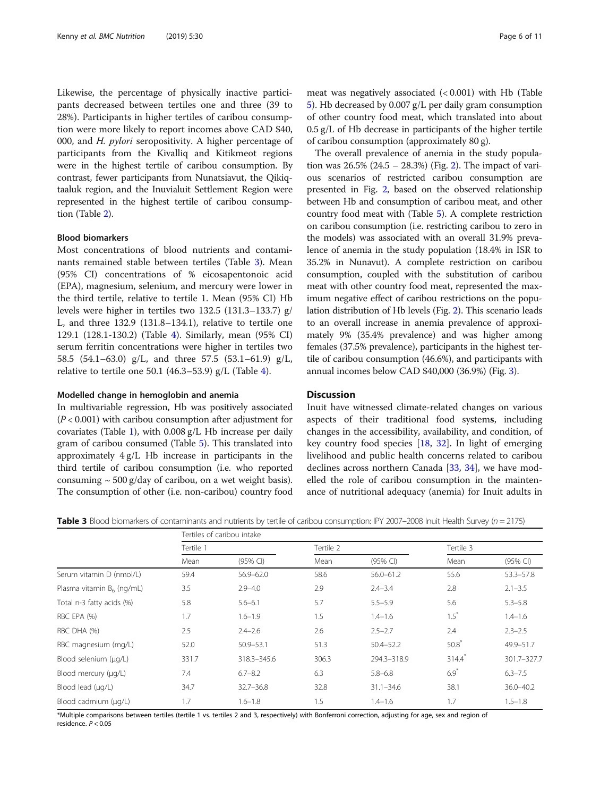Likewise, the percentage of physically inactive participants decreased between tertiles one and three (39 to 28%). Participants in higher tertiles of caribou consumption were more likely to report incomes above CAD \$40, 000, and H. pylori seropositivity. A higher percentage of participants from the Kivalliq and Kitikmeot regions were in the highest tertile of caribou consumption. By contrast, fewer participants from Nunatsiavut, the Qikiqtaaluk region, and the Inuvialuit Settlement Region were represented in the highest tertile of caribou consumption (Table [2\)](#page-4-0).

### Blood biomarkers

Most concentrations of blood nutrients and contaminants remained stable between tertiles (Table 3). Mean (95% CI) concentrations of % eicosapentonoic acid (EPA), magnesium, selenium, and mercury were lower in the third tertile, relative to tertile 1. Mean (95% CI) Hb levels were higher in tertiles two 132.5 (131.3–133.7) g/ L, and three 132.9 (131.8–134.1), relative to tertile one 129.1 (128.1-130.2) (Table [4\)](#page-6-0). Similarly, mean (95% CI) serum ferritin concentrations were higher in tertiles two 58.5 (54.1–63.0) g/L, and three 57.5 (53.1–61.9) g/L, relative to tertile one 50.1  $(46.3-53.9)$  g/L (Table [4\)](#page-6-0).

# Modelled change in hemoglobin and anemia

In multivariable regression, Hb was positively associated  $(P < 0.001)$  with caribou consumption after adjustment for covariates (Table [1\)](#page-4-0), with 0.008 g/L Hb increase per daily gram of caribou consumed (Table [5](#page-6-0)). This translated into approximately 4 g/L Hb increase in participants in the third tertile of caribou consumption (i.e. who reported consuming  $\sim$  500 g/day of caribou, on a wet weight basis). The consumption of other (i.e. non-caribou) country food meat was negatively associated (< 0.001) with Hb (Table [5\)](#page-6-0). Hb decreased by 0.007 g/L per daily gram consumption of other country food meat, which translated into about 0.5 g/L of Hb decrease in participants of the higher tertile of caribou consumption (approximately 80 g).

The overall prevalence of anemia in the study population was  $26.5\%$  $26.5\%$  (24.5 – 28.3%) (Fig. 2). The impact of various scenarios of restricted caribou consumption are presented in Fig. [2](#page-7-0), based on the observed relationship between Hb and consumption of caribou meat, and other country food meat with (Table [5](#page-6-0)). A complete restriction on caribou consumption (i.e. restricting caribou to zero in the models) was associated with an overall 31.9% prevalence of anemia in the study population (18.4% in ISR to 35.2% in Nunavut). A complete restriction on caribou consumption, coupled with the substitution of caribou meat with other country food meat, represented the maximum negative effect of caribou restrictions on the population distribution of Hb levels (Fig. [2\)](#page-7-0). This scenario leads to an overall increase in anemia prevalence of approximately 9% (35.4% prevalence) and was higher among females (37.5% prevalence), participants in the highest tertile of caribou consumption (46.6%), and participants with annual incomes below CAD \$40,000 (36.9%) (Fig. [3](#page-8-0)).

# **Discussion**

Inuit have witnessed climate-related changes on various aspects of their traditional food systems, including changes in the accessibility, availability, and condition, of key country food species [\[18,](#page-10-0) [32](#page-10-0)]. In light of emerging livelihood and public health concerns related to caribou declines across northern Canada [\[33,](#page-10-0) [34](#page-10-0)], we have modelled the role of caribou consumption in the maintenance of nutritional adequacy (anemia) for Inuit adults in

**Table 3** Blood biomarkers of contaminants and nutrients by tertile of caribou consumption: IPY 2007–2008 Inuit Health Survey ( $n = 2175$ )

|                              | Tertiles of caribou intake |               |       |               |           |               |
|------------------------------|----------------------------|---------------|-------|---------------|-----------|---------------|
|                              | Tertile 1                  |               |       |               | Tertile 3 |               |
|                              | Mean                       | $(95%$ CI)    | Mean  | (95% CI)      | Mean      | (95% CI)      |
| Serum vitamin D (nmol/L)     | 59.4                       | $56.9 - 62.0$ | 58.6  | $56.0 - 61.2$ | 55.6      | $53.3 - 57.8$ |
| Plasma vitamin $B_6$ (ng/mL) | 3.5                        | $2.9 - 4.0$   | 2.9   | $2.4 - 3.4$   | 2.8       | $2.1 - 3.5$   |
| Total n-3 fatty acids (%)    | 5.8                        | $5.6 - 6.1$   | 5.7   | $5.5 - 5.9$   | 5.6       | $5.3 - 5.8$   |
| RBC EPA (%)                  | 1.7                        | $1.6 - 1.9$   | 1.5   | $1.4 - 1.6$   | $1.5^*$   | $1.4 - 1.6$   |
| RBC DHA (%)                  | 2.5                        | $2.4 - 2.6$   | 2.6   | $2.5 - 2.7$   | 2.4       | $2.3 - 2.5$   |
| RBC magnesium (mg/L)         | 52.0                       | $50.9 - 53.1$ | 51.3  | $50.4 - 52.2$ | 50.8      | 49.9-51.7     |
| Blood selenium (µq/L)        | 331.7                      | 318.3-345.6   | 306.3 | 294.3-318.9   | $314.4*$  | 301.7-327.7   |
| Blood mercury (µg/L)         | 7.4                        | $6.7 - 8.2$   | 6.3   | $5.8 - 6.8$   | $6.9*$    | $6.3 - 7.5$   |
| Blood lead (µq/L)            | 34.7                       | $32.7 - 36.8$ | 32.8  | $31.1 - 34.6$ | 38.1      | $36.0 - 40.2$ |
| Blood cadmium (µg/L)         | 1.7                        | $1.6 - 1.8$   | 1.5   | $1.4 - 1.6$   | 1.7       | $1.5 - 1.8$   |

\*Multiple comparisons between tertiles (tertile 1 vs. tertiles 2 and 3, respectively) with Bonferroni correction, adjusting for age, sex and region of residence. P < 0.05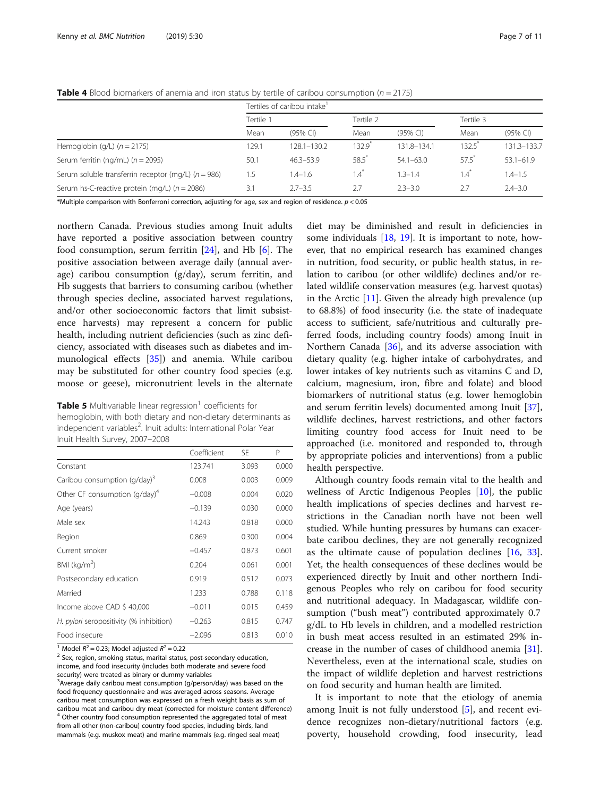|                                                         |           | Tertiles of caribou intake <sup>1</sup> |                 |               |                     |               |
|---------------------------------------------------------|-----------|-----------------------------------------|-----------------|---------------|---------------------|---------------|
|                                                         | Tertile 1 |                                         | Tertile 2       |               | Tertile 3           |               |
|                                                         | Mean      | $(95%$ CI)                              | Mean            | $(95%$ CI)    | Mean                | $(95%$ CI)    |
| Hemoglobin (g/L) $(n = 2175)$                           | 129.1     | 128.1-130.2                             | 132.9           | 131.8-134.1   | 132.5               | 131.3-133.7   |
| Serum ferritin (ng/mL) ( $n = 2095$ )                   | 50.1      | $46.3 - 53.9$                           | $58.5*$         | $54.1 - 63.0$ | $57.5$ <sup>*</sup> | $53.1 - 61.9$ |
| Serum soluble transferrin receptor (mg/L) ( $n = 986$ ) | 1.5       | $1.4 - 1.6$                             | $1.4^{\degree}$ | $1.3 - 1.4$   | $1.4^*$             | $1.4 - 1.5$   |
| Serum hs-C-reactive protein (mg/L) ( $n = 2086$ )       | 3.1       | $2.7 - 3.5$                             | 2.7             | $2.3 - 3.0$   | 2.7                 | $2.4 - 3.0$   |

<span id="page-6-0"></span>**Table 4** Blood biomarkers of anemia and iron status by tertile of caribou consumption ( $n = 2175$ )

\*Multiple comparison with Bonferroni correction, adjusting for age, sex and region of residence.  $p < 0.05$ 

northern Canada. Previous studies among Inuit adults have reported a positive association between country food consumption, serum ferritin [[24\]](#page-10-0), and Hb [\[6](#page-9-0)]. The positive association between average daily (annual average) caribou consumption (g/day), serum ferritin, and Hb suggests that barriers to consuming caribou (whether through species decline, associated harvest regulations, and/or other socioeconomic factors that limit subsistence harvests) may represent a concern for public health, including nutrient deficiencies (such as zinc deficiency, associated with diseases such as diabetes and immunological effects [\[35](#page-10-0)]) and anemia. While caribou may be substituted for other country food species (e.g. moose or geese), micronutrient levels in the alternate

**Table 5** Multivariable linear regression<sup>1</sup> coefficients for hemoglobin, with both dietary and non-dietary determinants as independent variables<sup>2</sup>. Inuit adults: International Polar Year Inuit Health Survey, 2007–2008

|                                          | Coefficient | SF    | P     |
|------------------------------------------|-------------|-------|-------|
| Constant                                 | 123.741     | 3.093 | 0.000 |
| Caribou consumption (g/day) <sup>3</sup> | 0.008       | 0.003 | 0.009 |
| Other CF consumption $(q/day)^4$         | $-0.008$    | 0.004 | 0.020 |
| Age (years)                              | $-0.139$    | 0.030 | 0.000 |
| Male sex                                 | 14.243      | 0.818 | 0.000 |
| Region                                   | 0.869       | 0.300 | 0.004 |
| Current smoker                           | $-0.457$    | 0.873 | 0.601 |
| BMI ( $kg/m2$ )                          | 0.204       | 0.061 | 0.001 |
| Postsecondary education                  | 0.919       | 0.512 | 0.073 |
| Married                                  | 1.233       | 0.788 | 0.118 |
| Income above CAD \$40,000                | $-0.011$    | 0.015 | 0.459 |
| H. pylori seropositivity (% inhibition)  | $-0.263$    | 0.815 | 0.747 |
| Food insecure                            | $-2.096$    | 0.813 | 0.010 |

<sup>1</sup> Model  $R^2$  = 0.23; Model adjusted  $R^2$  = 0.22<br><sup>2</sup> Sex, region, smoking status, marital status, post-secondary education,

income, and food insecurity (includes both moderate and severe food security) were treated as binary or dummy variables

<sup>3</sup> Average daily caribou meat consumption (g/person/day) was based on the food frequency questionnaire and was averaged across seasons. Average caribou meat consumption was expressed on a fresh weight basis as sum of caribou meat and caribou dry meat (corrected for moisture content difference) <sup>4</sup> Other country food consumption represented the aggregated total of meat from all other (non-caribou) country food species, including birds, land mammals (e.g. muskox meat) and marine mammals (e.g. ringed seal meat)

diet may be diminished and result in deficiencies in some individuals  $[18, 19]$  $[18, 19]$  $[18, 19]$ . It is important to note, however, that no empirical research has examined changes in nutrition, food security, or public health status, in relation to caribou (or other wildlife) declines and/or related wildlife conservation measures (e.g. harvest quotas) in the Arctic  $[11]$  $[11]$ . Given the already high prevalence (up to 68.8%) of food insecurity (i.e. the state of inadequate access to sufficient, safe/nutritious and culturally preferred foods, including country foods) among Inuit in Northern Canada [[36\]](#page-10-0), and its adverse association with dietary quality (e.g. higher intake of carbohydrates, and lower intakes of key nutrients such as vitamins C and D, calcium, magnesium, iron, fibre and folate) and blood biomarkers of nutritional status (e.g. lower hemoglobin and serum ferritin levels) documented among Inuit [\[37](#page-10-0)], wildlife declines, harvest restrictions, and other factors limiting country food access for Inuit need to be approached (i.e. monitored and responded to, through by appropriate policies and interventions) from a public health perspective.

Although country foods remain vital to the health and wellness of Arctic Indigenous Peoples [[10](#page-9-0)], the public health implications of species declines and harvest restrictions in the Canadian north have not been well studied. While hunting pressures by humans can exacerbate caribou declines, they are not generally recognized as the ultimate cause of population declines [\[16](#page-10-0), [33](#page-10-0)]. Yet, the health consequences of these declines would be experienced directly by Inuit and other northern Indigenous Peoples who rely on caribou for food security and nutritional adequacy. In Madagascar, wildlife consumption ("bush meat") contributed approximately 0.7 g/dL to Hb levels in children, and a modelled restriction in bush meat access resulted in an estimated 29% increase in the number of cases of childhood anemia [\[31](#page-10-0)]. Nevertheless, even at the international scale, studies on the impact of wildlife depletion and harvest restrictions on food security and human health are limited.

It is important to note that the etiology of anemia among Inuit is not fully understood [[5\]](#page-9-0), and recent evidence recognizes non-dietary/nutritional factors (e.g. poverty, household crowding, food insecurity, lead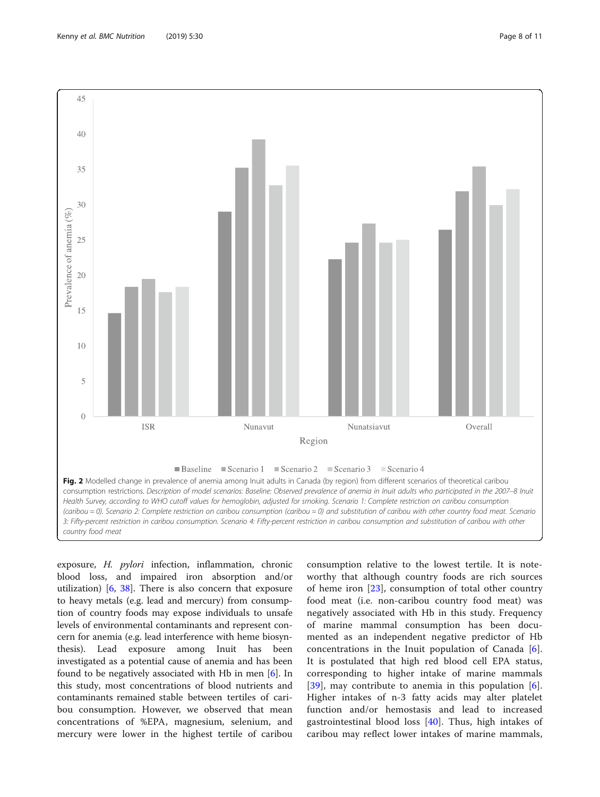<span id="page-7-0"></span>

exposure, H. pylori infection, inflammation, chronic blood loss, and impaired iron absorption and/or utilization)  $[6, 38]$  $[6, 38]$  $[6, 38]$  $[6, 38]$ . There is also concern that exposure to heavy metals (e.g. lead and mercury) from consumption of country foods may expose individuals to unsafe levels of environmental contaminants and represent concern for anemia (e.g. lead interference with heme biosynthesis). Lead exposure among Inuit has been investigated as a potential cause of anemia and has been found to be negatively associated with Hb in men [\[6](#page-9-0)]. In this study, most concentrations of blood nutrients and contaminants remained stable between tertiles of caribou consumption. However, we observed that mean concentrations of %EPA, magnesium, selenium, and mercury were lower in the highest tertile of caribou

consumption relative to the lowest tertile. It is noteworthy that although country foods are rich sources of heme iron [[23\]](#page-10-0), consumption of total other country food meat (i.e. non-caribou country food meat) was negatively associated with Hb in this study. Frequency of marine mammal consumption has been documented as an independent negative predictor of Hb concentrations in the Inuit population of Canada [\[6](#page-9-0)]. It is postulated that high red blood cell EPA status, corresponding to higher intake of marine mammals [[39\]](#page-10-0), may contribute to anemia in this population [\[6](#page-9-0)]. Higher intakes of n-3 fatty acids may alter platelet function and/or hemostasis and lead to increased gastrointestinal blood loss [[40](#page-10-0)]. Thus, high intakes of caribou may reflect lower intakes of marine mammals,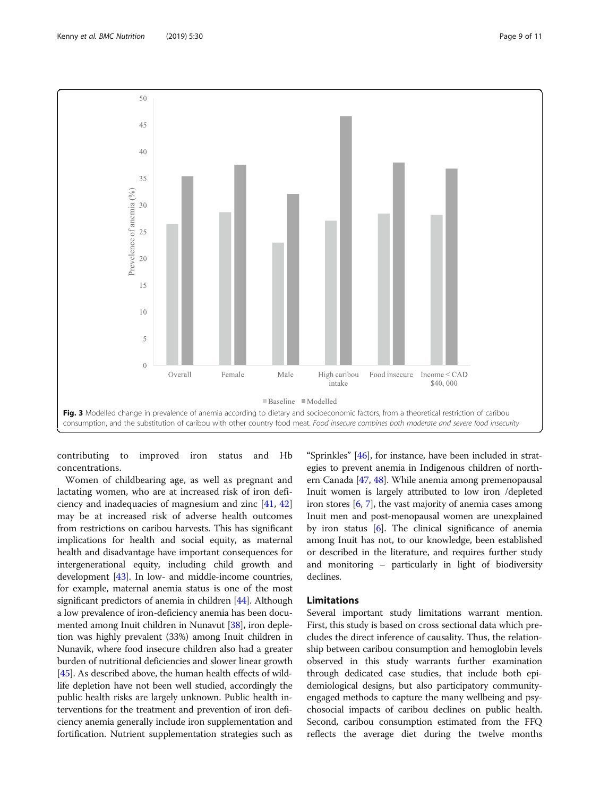

<span id="page-8-0"></span>

contributing to improved iron status and Hb concentrations.

Women of childbearing age, as well as pregnant and lactating women, who are at increased risk of iron deficiency and inadequacies of magnesium and zinc [\[41](#page-10-0), [42](#page-10-0)] may be at increased risk of adverse health outcomes from restrictions on caribou harvests. This has significant implications for health and social equity, as maternal health and disadvantage have important consequences for intergenerational equity, including child growth and development [\[43\]](#page-10-0). In low- and middle-income countries, for example, maternal anemia status is one of the most significant predictors of anemia in children [\[44\]](#page-10-0). Although a low prevalence of iron-deficiency anemia has been documented among Inuit children in Nunavut [[38\]](#page-10-0), iron depletion was highly prevalent (33%) among Inuit children in Nunavik, where food insecure children also had a greater burden of nutritional deficiencies and slower linear growth [[45](#page-10-0)]. As described above, the human health effects of wildlife depletion have not been well studied, accordingly the public health risks are largely unknown. Public health interventions for the treatment and prevention of iron deficiency anemia generally include iron supplementation and fortification. Nutrient supplementation strategies such as

"Sprinkles" [[46](#page-10-0)], for instance, have been included in strategies to prevent anemia in Indigenous children of northern Canada [[47](#page-10-0), [48\]](#page-10-0). While anemia among premenopausal Inuit women is largely attributed to low iron /depleted iron stores  $[6, 7]$  $[6, 7]$  $[6, 7]$ , the vast majority of anemia cases among Inuit men and post-menopausal women are unexplained by iron status [\[6](#page-9-0)]. The clinical significance of anemia among Inuit has not, to our knowledge, been established or described in the literature, and requires further study and monitoring – particularly in light of biodiversity declines.

# Limitations

Several important study limitations warrant mention. First, this study is based on cross sectional data which precludes the direct inference of causality. Thus, the relationship between caribou consumption and hemoglobin levels observed in this study warrants further examination through dedicated case studies, that include both epidemiological designs, but also participatory communityengaged methods to capture the many wellbeing and psychosocial impacts of caribou declines on public health. Second, caribou consumption estimated from the FFQ reflects the average diet during the twelve months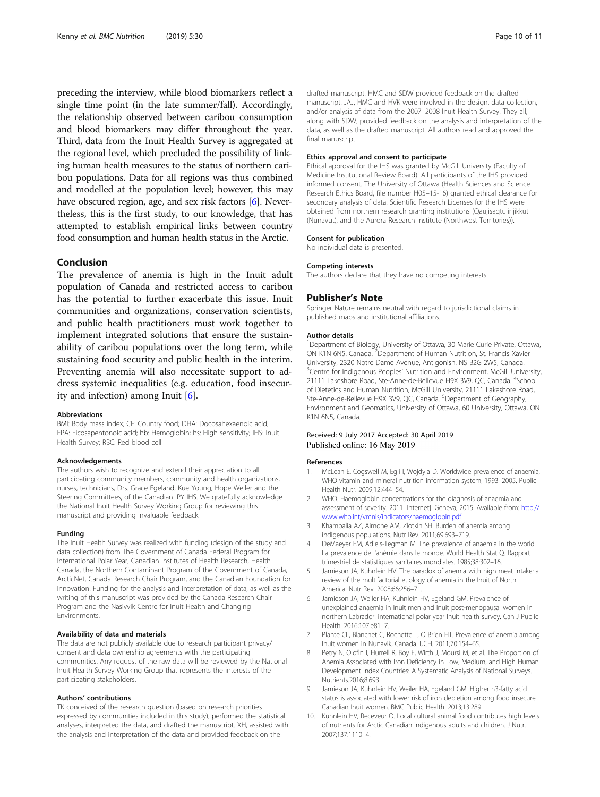<span id="page-9-0"></span>preceding the interview, while blood biomarkers reflect a single time point (in the late summer/fall). Accordingly, the relationship observed between caribou consumption and blood biomarkers may differ throughout the year. Third, data from the Inuit Health Survey is aggregated at the regional level, which precluded the possibility of linking human health measures to the status of northern caribou populations. Data for all regions was thus combined and modelled at the population level; however, this may have obscured region, age, and sex risk factors [6]. Nevertheless, this is the first study, to our knowledge, that has attempted to establish empirical links between country food consumption and human health status in the Arctic.

# Conclusion

The prevalence of anemia is high in the Inuit adult population of Canada and restricted access to caribou has the potential to further exacerbate this issue. Inuit communities and organizations, conservation scientists, and public health practitioners must work together to implement integrated solutions that ensure the sustainability of caribou populations over the long term, while sustaining food security and public health in the interim. Preventing anemia will also necessitate support to address systemic inequalities (e.g. education, food insecurity and infection) among Inuit [6].

#### Abbreviations

BMI: Body mass index; CF: Country food; DHA: Docosahexaenoic acid; EPA: Eicosapentonoic acid; hb: Hemoglobin; hs: High sensitivity; IHS: Inuit Health Survey; RBC: Red blood cell

#### Acknowledgements

The authors wish to recognize and extend their appreciation to all participating community members, community and health organizations, nurses, technicians, Drs. Grace Egeland, Kue Young, Hope Weiler and the Steering Committees, of the Canadian IPY IHS. We gratefully acknowledge the National Inuit Health Survey Working Group for reviewing this manuscript and providing invaluable feedback.

#### Funding

The Inuit Health Survey was realized with funding (design of the study and data collection) from The Government of Canada Federal Program for International Polar Year, Canadian Institutes of Health Research, Health Canada, the Northern Contaminant Program of the Government of Canada, ArcticNet, Canada Research Chair Program, and the Canadian Foundation for Innovation. Funding for the analysis and interpretation of data, as well as the writing of this manuscript was provided by the Canada Research Chair Program and the Nasivvik Centre for Inuit Health and Changing Environments.

#### Availability of data and materials

The data are not publicly available due to research participant privacy/ consent and data ownership agreements with the participating communities. Any request of the raw data will be reviewed by the National Inuit Health Survey Working Group that represents the interests of the participating stakeholders.

#### Authors' contributions

TK conceived of the research question (based on research priorities expressed by communities included in this study), performed the statistical analyses, interpreted the data, and drafted the manuscript. XH, assisted with the analysis and interpretation of the data and provided feedback on the

drafted manuscript. HMC and SDW provided feedback on the drafted manuscript. JAJ, HMC and HVK were involved in the design, data collection, and/or analysis of data from the 2007–2008 Inuit Health Survey. They all, along with SDW, provided feedback on the analysis and interpretation of the data, as well as the drafted manuscript. All authors read and approved the final manuscript.

#### Ethics approval and consent to participate

Ethical approval for the IHS was granted by McGill University (Faculty of Medicine Institutional Review Board). All participants of the IHS provided informed consent. The University of Ottawa (Health Sciences and Science Research Ethics Board, file number H05–15-16) granted ethical clearance for secondary analysis of data. Scientific Research Licenses for the IHS were obtained from northern research granting institutions (Qaujisaqtulirijikkut (Nunavut), and the Aurora Research Institute (Northwest Territories)).

#### Consent for publication

No individual data is presented.

#### Competing interests

The authors declare that they have no competing interests.

#### Publisher's Note

Springer Nature remains neutral with regard to jurisdictional claims in published maps and institutional affiliations.

#### Author details

<sup>1</sup>Department of Biology, University of Ottawa, 30 Marie Curie Private, Ottawa ON K1N 6N5, Canada. <sup>2</sup>Department of Human Nutrition, St. Francis Xavier University, 2320 Notre Dame Avenue, Antigonish, NS B2G 2W5, Canada. <sup>3</sup> Centre for Indigenous Peoples' Nutrition and Environment, McGill University, 21111 Lakeshore Road, Ste-Anne-de-Bellevue H9X 3V9, QC, Canada. <sup>4</sup>School of Dietetics and Human Nutrition, McGill University, 21111 Lakeshore Road, Ste-Anne-de-Bellevue H9X 3V9, QC, Canada. <sup>5</sup>Department of Geography Environment and Geomatics, University of Ottawa, 60 University, Ottawa, ON K1N 6N5, Canada.

### Received: 9 July 2017 Accepted: 30 April 2019 Published online: 16 May 2019

#### References

- McLean E, Cogswell M, Egli I, Wojdyla D. Worldwide prevalence of anaemia, WHO vitamin and mineral nutrition information system, 1993–2005. Public Health Nutr. 2009;12:444–54.
- 2. WHO. Haemoglobin concentrations for the diagnosis of anaemia and assessment of severity. 2011 [Internet]. Geneva; 2015. Available from: [http://](http://www.who.int/vmnis/indicators/haemoglobin.pdf) [www.who.int/vmnis/indicators/haemoglobin.pdf](http://www.who.int/vmnis/indicators/haemoglobin.pdf)
- 3. Khambalia AZ, Aimone AM, Zlotkin SH. Burden of anemia among indigenous populations. Nutr Rev. 2011;69:693–719.
- 4. DeMaeyer EM, Adiels-Tegman M. The prevalence of anaemia in the world. La prevalence de l'anémie dans le monde. World Health Stat Q. Rapport trimestriel de statistiques sanitaires mondiales. 1985;38:302–16.
- Jamieson JA, Kuhnlein HV. The paradox of anemia with high meat intake: a review of the multifactorial etiology of anemia in the Inuit of North America. Nutr Rev. 2008;66:256–71.
- Jamieson JA, Weiler HA, Kuhnlein HV, Egeland GM. Prevalence of unexplained anaemia in Inuit men and Inuit post-menopausal women in northern Labrador: international polar year Inuit health survey. Can J Public Health. 2016;107:e81–7.
- 7. Plante CL, Blanchet C, Rochette L, O Brien HT. Prevalence of anemia among Inuit women in Nunavik, Canada. IJCH. 2011;70:154–65.
- Petry N, Olofin I, Hurrell R, Boy E, Wirth J, Moursi M, et al. The Proportion of Anemia Associated with Iron Deficiency in Low, Medium, and High Human Development Index Countries: A Systematic Analysis of National Surveys. Nutrients.2016;8:693.
- 9. Jamieson JA, Kuhnlein HV, Weiler HA, Egeland GM. Higher n3-fatty acid status is associated with lower risk of iron depletion among food insecure Canadian Inuit women. BMC Public Health. 2013;13:289.
- 10. Kuhnlein HV, Receveur O. Local cultural animal food contributes high levels of nutrients for Arctic Canadian indigenous adults and children. J Nutr. 2007;137:1110–4.